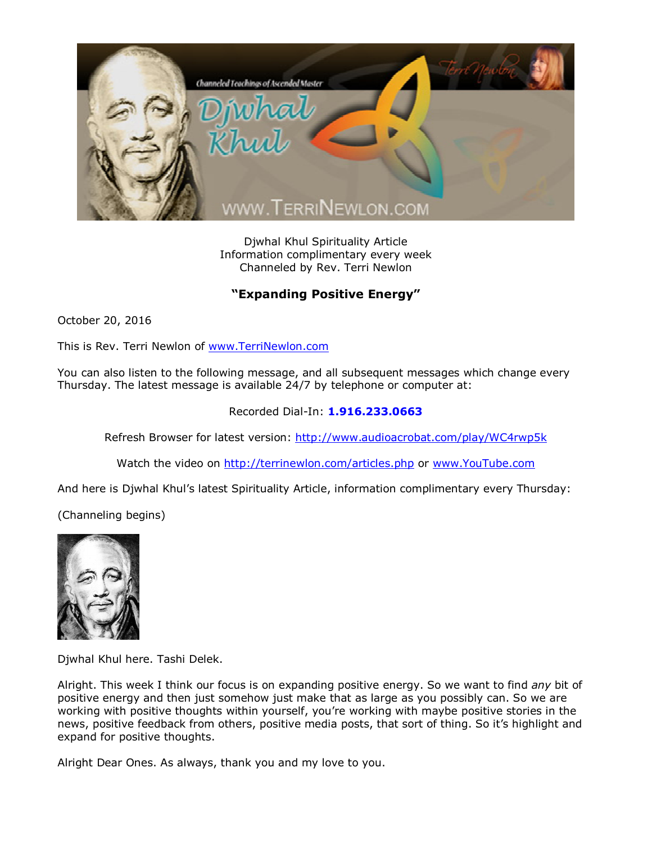

Djwhal Khul Spirituality Article Information complimentary every week Channeled by Rev. Terri Newlon

## **"Expanding Positive Energy"**

October 20, 2016

This is Rev. Terri Newlon of [www.TerriNewlon.com](http://www.terrinewlon.com/)

You can also listen to the following message, and all subsequent messages which change every Thursday. The latest message is available 24/7 by telephone or computer at:

## Recorded Dial-In: **1.916.233.0663**

Refresh Browser for latest version: <http://www.audioacrobat.com/play/WC4rwp5k>

Watch the video on <http://terrinewlon.com/articles.php> or [www.YouTube.com](http://www.youtube.com/)

And here is Djwhal Khul's latest Spirituality Article, information complimentary every Thursday:

(Channeling begins)



Djwhal Khul here. Tashi Delek.

Alright. This week I think our focus is on expanding positive energy. So we want to find *any* bit of positive energy and then just somehow just make that as large as you possibly can. So we are working with positive thoughts within yourself, you're working with maybe positive stories in the news, positive feedback from others, positive media posts, that sort of thing. So it's highlight and expand for positive thoughts.

Alright Dear Ones. As always, thank you and my love to you.